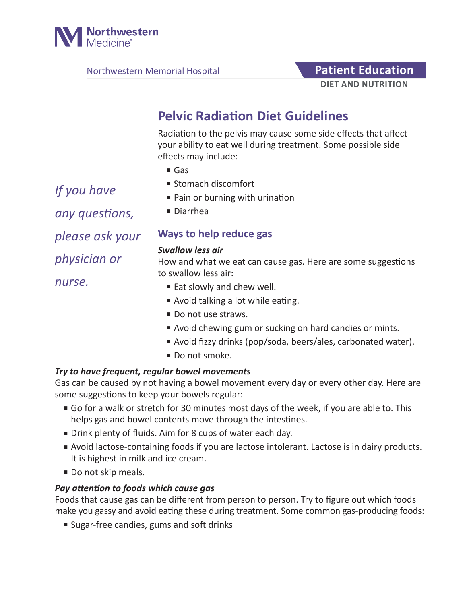

Northwestern Memorial Hospital **Patient Education** 

# **DIET AND NUTRITION**

## **Pelvic Radiation Diet Guidelines**

Radiation to the pelvis may cause some side effects that affect your ability to eat well during treatment. Some possible side effects may include:

- Gas
- Stomach discomfort
- Pain or burning with urination
- Diarrhea

## **Ways to help reduce gas**

#### *Swallow less air*

How and what we eat can cause gas. Here are some suggestions to swallow less air:

- Eat slowly and chew well.
- Avoid talking a lot while eating.
- Do not use straws.
- Avoid chewing gum or sucking on hard candies or mints.
- Avoid fizzy drinks (pop/soda, beers/ales, carbonated water).
- Do not smoke.

### *Try to have frequent, regular bowel movements*

Gas can be caused by not having a bowel movement every day or every other day. Here are some suggestions to keep your bowels regular:

- Go for a walk or stretch for 30 minutes most days of the week, if you are able to. This helps gas and bowel contents move through the intestines.
- Drink plenty of fluids. Aim for 8 cups of water each day.
- Avoid lactose-containing foods if you are lactose intolerant. Lactose is in dairy products. It is highest in milk and ice cream.
- Do not skip meals.

#### *Pay attention to foods which cause gas*

Foods that cause gas can be different from person to person. Try to figure out which foods make you gassy and avoid eating these during treatment. Some common gas-producing foods:

■ Sugar-free candies, gums and soft drinks

*If you have any questions, please ask your physician or nurse.*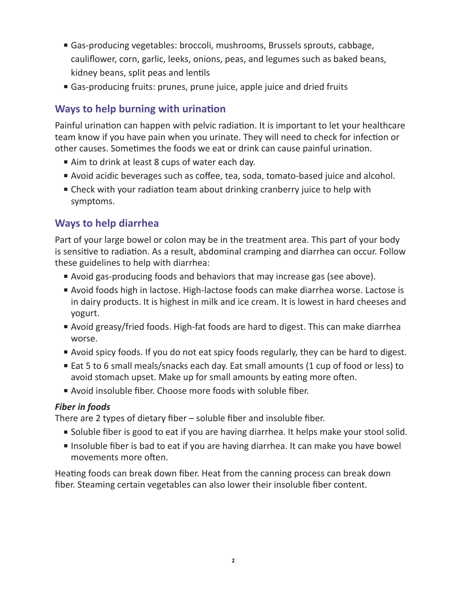- Gas-producing vegetables: broccoli, mushrooms, Brussels sprouts, cabbage, cauliflower, corn, garlic, leeks, onions, peas, and legumes such as baked beans, kidney beans, split peas and lentils
- Gas-producing fruits: prunes, prune juice, apple juice and dried fruits

## **Ways to help burning with urination**

Painful urination can happen with pelvic radiation. It is important to let your healthcare team know if you have pain when you urinate. They will need to check for infection or other causes. Sometimes the foods we eat or drink can cause painful urination.

- Aim to drink at least 8 cups of water each day.
- Avoid acidic beverages such as coffee, tea, soda, tomato-based juice and alcohol.
- Check with your radiation team about drinking cranberry juice to help with symptoms.

## **Ways to help diarrhea**

Part of your large bowel or colon may be in the treatment area. This part of your body is sensitive to radiation. As a result, abdominal cramping and diarrhea can occur. Follow these guidelines to help with diarrhea:

- Avoid gas-producing foods and behaviors that may increase gas (see above).
- Avoid foods high in lactose. High-lactose foods can make diarrhea worse. Lactose is in dairy products. It is highest in milk and ice cream. It is lowest in hard cheeses and yogurt.
- Avoid greasy/fried foods. High-fat foods are hard to digest. This can make diarrhea worse.
- Avoid spicy foods. If you do not eat spicy foods regularly, they can be hard to digest.
- Eat 5 to 6 small meals/snacks each day. Eat small amounts (1 cup of food or less) to avoid stomach upset. Make up for small amounts by eating more often.
- Avoid insoluble fiber. Choose more foods with soluble fiber.

## *Fiber in foods*

There are 2 types of dietary fiber – soluble fiber and insoluble fiber.

- Soluble fiber is good to eat if you are having diarrhea. It helps make your stool solid.
- Insoluble fiber is bad to eat if you are having diarrhea. It can make you have bowel movements more often.

Heating foods can break down fiber. Heat from the canning process can break down fiber. Steaming certain vegetables can also lower their insoluble fiber content.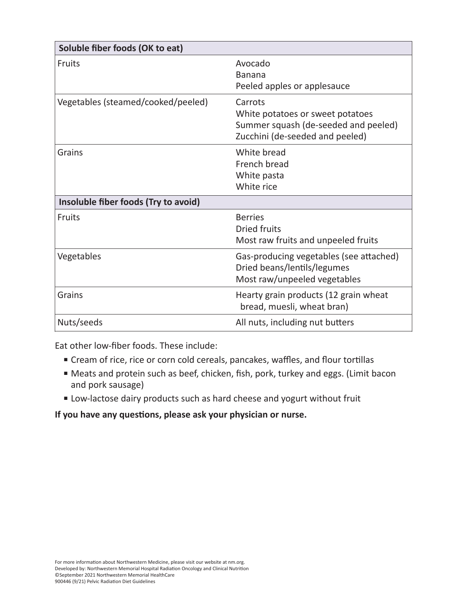| Soluble fiber foods (OK to eat)      |                                                                                                                        |  |  |
|--------------------------------------|------------------------------------------------------------------------------------------------------------------------|--|--|
| <b>Fruits</b>                        | Avocado<br><b>Banana</b><br>Peeled apples or applesauce                                                                |  |  |
| Vegetables (steamed/cooked/peeled)   | Carrots<br>White potatoes or sweet potatoes<br>Summer squash (de-seeded and peeled)<br>Zucchini (de-seeded and peeled) |  |  |
| Grains                               | White bread<br>French bread<br>White pasta<br>White rice                                                               |  |  |
| Insoluble fiber foods (Try to avoid) |                                                                                                                        |  |  |
| <b>Fruits</b>                        | <b>Berries</b><br><b>Dried fruits</b><br>Most raw fruits and unpeeled fruits                                           |  |  |
| Vegetables                           | Gas-producing vegetables (see attached)<br>Dried beans/lentils/legumes<br>Most raw/unpeeled vegetables                 |  |  |
| Grains                               | Hearty grain products (12 grain wheat<br>bread, muesli, wheat bran)                                                    |  |  |
| Nuts/seeds                           | All nuts, including nut butters                                                                                        |  |  |

Eat other low-fiber foods. These include:

- Cream of rice, rice or corn cold cereals, pancakes, waffles, and flour tortillas
- Meats and protein such as beef, chicken, fish, pork, turkey and eggs. (Limit bacon and pork sausage)
- Low-lactose dairy products such as hard cheese and yogurt without fruit

## **If you have any questions, please ask your physician or nurse.**